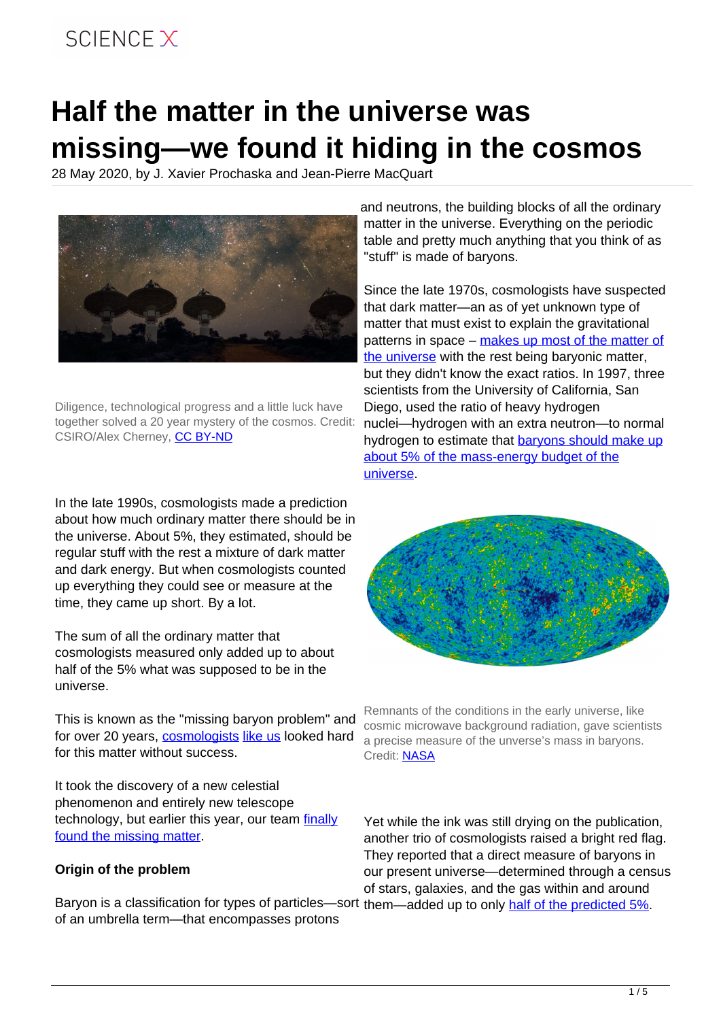## SCIFNCF X

# **Half the matter in the universe was missing—we found it hiding in the cosmos**

28 May 2020, by J. Xavier Prochaska and Jean-Pierre MacQuart



Diligence, technological progress and a little luck have together solved a 20 year mystery of the cosmos. Credit: CSIRO/Alex Cherney, [CC BY-ND](http://creativecommons.org/licenses/by-nd/4.0/)

In the late 1990s, cosmologists made a prediction about how much ordinary matter there should be in the universe. About 5%, they estimated, should be regular stuff with the rest a mixture of dark matter and dark energy. But when cosmologists counted up everything they could see or measure at the time, they came up short. By a lot.

The sum of all the ordinary matter that cosmologists measured only added up to about half of the 5% what was supposed to be in the universe.

This is known as the "missing baryon problem" and for over 20 years, [cosmologists](https://scholar.google.com/citations?hl=en&user=04fD24sAAAAJ) [like us](https://scholar.google.com/citations?hl=en&user=uukAaXYAAAAJ) looked hard for this matter without success.

It took the discovery of a new celestial phenomenon and entirely new telescope technology, but earlier this year, our team [finally](https://doi.org/10.1038/s41586-020-2300-2) [found the missing matter.](https://doi.org/10.1038/s41586-020-2300-2)

#### **Origin of the problem**

Baryon is a classification for types of particles—sort them—added up to only [half of the predicted 5%.](https://doi.org/10.1086/306025) of an umbrella term—that encompasses protons

and neutrons, the building blocks of all the ordinary matter in the universe. Everything on the periodic table and pretty much anything that you think of as "stuff" is made of baryons.

Since the late 1970s, cosmologists have suspected that dark matter—an as of yet unknown type of matter that must exist to explain the gravitational patterns in space – [makes up most of the matter of](https://doi.org/10.1086%2F158003) [the universe](https://doi.org/10.1086%2F158003) with the rest being baryonic matter, but they didn't know the exact ratios. In 1997, three scientists from the University of California, San Diego, used the ratio of heavy hydrogen nuclei—hydrogen with an extra neutron—to normal hydrogen to estimate that **[baryons should make up](https://doi.org/10.1038/381207a0)** [about 5% of the mass-energy budget of the](https://doi.org/10.1038/381207a0) [universe](https://doi.org/10.1038/381207a0).



Remnants of the conditions in the early universe, like cosmic microwave background radiation, gave scientists a precise measure of the unverse's mass in baryons. Credit: [NASA](https://en.wikipedia.org/wiki/File:WMAP_2010.png)

Yet while the ink was still drying on the publication, another trio of cosmologists raised a bright red flag. They reported that a direct measure of baryons in our present universe—determined through a census of stars, galaxies, and the gas within and around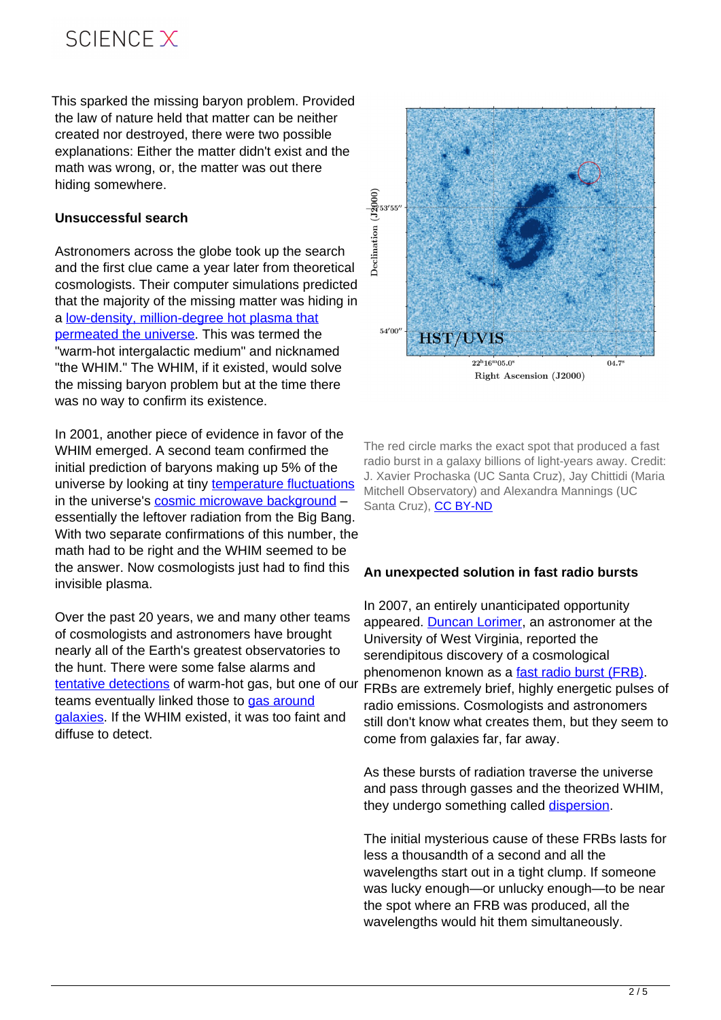## SCIFNCF X

This sparked the missing baryon problem. Provided the law of nature held that matter can be neither created nor destroyed, there were two possible explanations: Either the matter didn't exist and the math was wrong, or, the matter was out there hiding somewhere.

#### **Unsuccessful search**

Astronomers across the globe took up the search hiding somewhere.<br>
Unsuccessful search<br>
Astronomers across the globe took up the search<br>
and the first clue came a year later from theoretical cosmologists. Their computer simulations predicted that the majority of the missing matter was hiding in a [low-density, million-degree hot plasma that](https://doi.org/10.1086/306949) [permeated the universe.](https://doi.org/10.1086/306949) This was termed the "warm-hot intergalactic medium" and nicknamed "the WHIM." The WHIM, if it existed, would solve the missing baryon problem but at the time there was no way to confirm its existence.

In 2001, another piece of evidence in favor of the WHIM emerged. A second team confirmed the initial prediction of baryons making up 5% of the universe by looking at tiny [temperature fluctuations](https://wmap.gsfc.nasa.gov/universe/bb_cosmo_fluct.html) in the universe's [cosmic microwave background](https://www.space.com/20330-cosmic-microwave-background-explained-infographic.html) essentially the leftover radiation from the Big Bang. With two separate confirmations of this number, the math had to be right and the WHIM seemed to be the answer. Now cosmologists just had to find this invisible plasma.

Over the past 20 years, we and many other teams of cosmologists and astronomers have brought nearly all of the Earth's greatest observatories to the hunt. There were some false alarms and [tentative detections](https://doi.org/10.1086/312644) of warm-hot gas, but one of our teams eventually linked those to [gas around](https://doi.org/10.1088/0004-637X/740/2/91) [galaxies.](https://doi.org/10.1088/0004-637X/740/2/91) If the WHIM existed, it was too faint and diffuse to detect.



The red circle marks the exact spot that produced a fast radio burst in a galaxy billions of light-years away. Credit: J. Xavier Prochaska (UC Santa Cruz), Jay Chittidi (Maria Mitchell Observatory) and Alexandra Mannings (UC Santa Cruz), [CC BY-ND](http://creativecommons.org/licenses/by-nd/4.0/)

#### **An unexpected solution in fast radio bursts**

In 2007, an entirely unanticipated opportunity appeared. [Duncan Lorimer](https://scholar.google.com/citations?hl=en&user=MROPlzkAAAAJ), an astronomer at the University of West Virginia, reported the serendipitous discovery of a cosmological phenomenon known as a [fast radio burst \(FRB\).](https://doi.org/10.1126/science.1147532) FRBs are extremely brief, highly energetic pulses of radio emissions. Cosmologists and astronomers still don't know what creates them, but they seem to come from galaxies far, far away.

As these bursts of radiation traverse the universe and pass through gasses and the theorized WHIM, they undergo something called [dispersion](https://en.wikipedia.org/wiki/Dispersion_(optics)).

The initial mysterious cause of these FRBs lasts for less a thousandth of a second and all the wavelengths start out in a tight clump. If someone was lucky enough—or unlucky enough—to be near the spot where an FRB was produced, all the wavelengths would hit them simultaneously.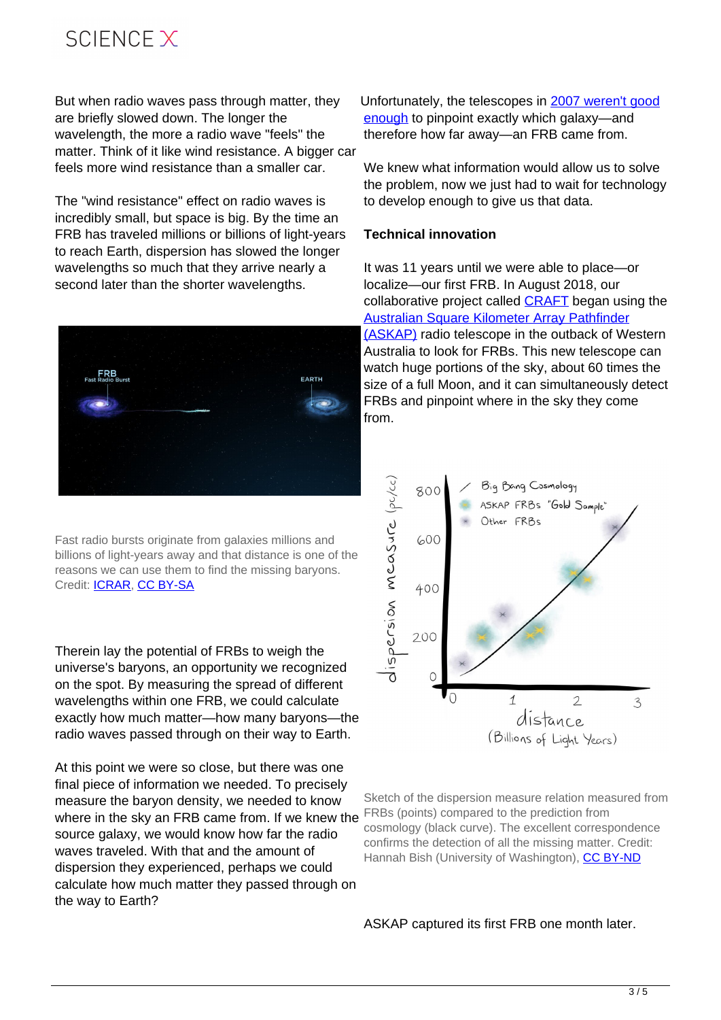## SCIFNCF X

But when radio waves pass through matter, they are briefly slowed down. The longer the wavelength, the more a radio wave "feels" the matter. Think of it like wind resistance. A bigger car feels more wind resistance than a smaller car.

The "wind resistance" effect on radio waves is incredibly small, but space is big. By the time an FRB has traveled millions or billions of light-years to reach Earth, dispersion has slowed the longer wavelengths so much that they arrive nearly a second later than the shorter wavelengths.



Fast radio bursts originate from galaxies millions and billions of light-years away and that distance is one of the reasons we can use them to find the missing baryons. Credit: [ICRAR](https://www.icrar.org/), [CC BY-SA](http://creativecommons.org/licenses/by-sa/4.0/)

Therein lay the potential of FRBs to weigh the universe's baryons, an opportunity we recognized on the spot. By measuring the spread of different wavelengths within one FRB, we could calculate exactly how much matter—how many baryons—the radio waves passed through on their way to Earth.

At this point we were so close, but there was one final piece of information we needed. To precisely measure the baryon density, we needed to know where in the sky an FRB came from. If we knew the source galaxy, we would know how far the radio waves traveled. With that and the amount of dispersion they experienced, perhaps we could calculate how much matter they passed through on the way to Earth?

Unfortunately, the telescopes in [2007 weren't good](https://doi.org/10.1126/science.1147532) [enough](https://doi.org/10.1126/science.1147532) to pinpoint exactly which galaxy—and therefore how far away—an FRB came from.

We knew what information would allow us to solve the problem, now we just had to wait for technology to develop enough to give us that data.

#### **Technical innovation**

It was 11 years until we were able to place—or localize—our first FRB. In August 2018, our collaborative project called [CRAFT](https://astronomy.curtin.edu.au/research/craft/) began using the [Australian Square Kilometer Array Pathfinder](https://www.atnf.csiro.au/projects/askap/index.html) [\(ASKAP\)](https://www.atnf.csiro.au/projects/askap/index.html) radio telescope in the outback of Western Australia to look for FRBs. This new telescope can watch huge portions of the sky, about 60 times the size of a full Moon, and it can simultaneously detect FRBs and pinpoint where in the sky they come from.



Sketch of the dispersion measure relation measured from FRBs (points) compared to the prediction from cosmology (black curve). The excellent correspondence confirms the detection of all the missing matter. Credit: Hannah Bish (University of Washington), [CC BY-ND](http://creativecommons.org/licenses/by-nd/4.0/)

ASKAP captured its first FRB one month later.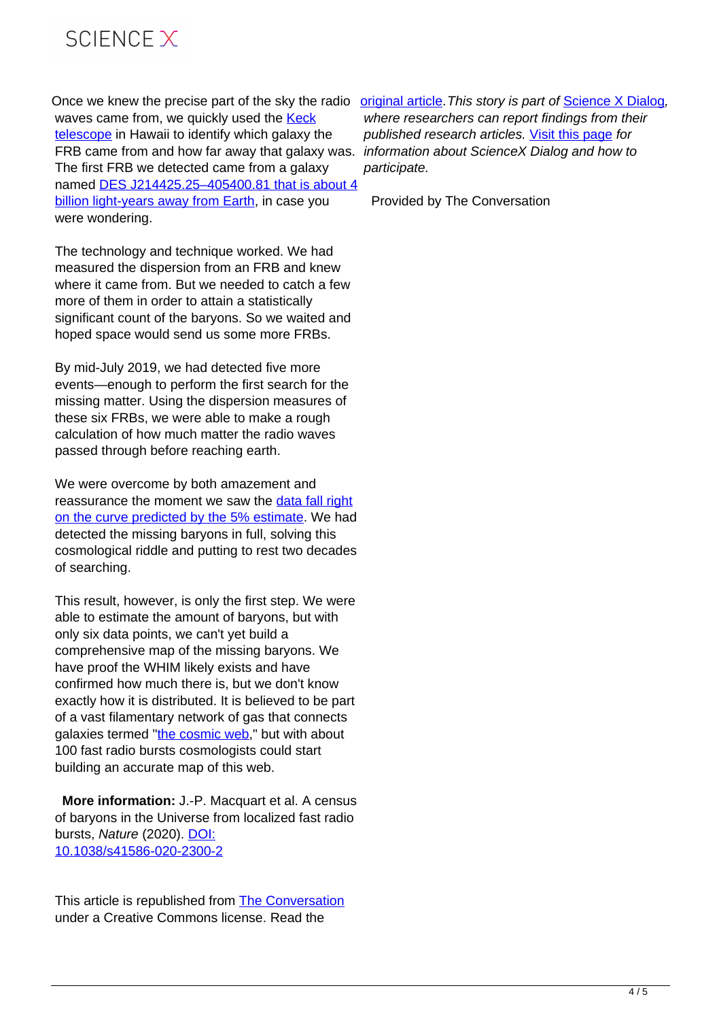

waves came from, we quickly used the [Keck](http://www.keckobservatory.org/) [telescope](http://www.keckobservatory.org/) in Hawaii to identify which galaxy the FRB came from and how far away that galaxy was. The first FRB we detected came from a galaxy named [DES J214425.25–405400.81 that is about 4](https://doi.org/10.1126/science.aaw5903) [billion light-years away from Earth](https://doi.org/10.1126/science.aaw5903), in case you were wondering.

The technology and technique worked. We had measured the dispersion from an FRB and knew where it came from. But we needed to catch a few more of them in order to attain a statistically significant count of the baryons. So we waited and hoped space would send us some more FRBs.

By mid-July 2019, we had detected five more events—enough to perform the first search for the missing matter. Using the dispersion measures of these six FRBs, we were able to make a rough calculation of how much matter the radio waves passed through before reaching earth.

We were overcome by both amazement and reassurance the moment we saw the [data fall right](https://doi.org/10.1038/s41586-020-2300-2) [on the curve predicted by the 5% estimate.](https://doi.org/10.1038/s41586-020-2300-2) We had detected the missing baryons in full, solving this cosmological riddle and putting to rest two decades of searching.

This result, however, is only the first step. We were able to estimate the amount of baryons, but with only six data points, we can't yet build a comprehensive map of the missing baryons. We have proof the WHIM likely exists and have confirmed how much there is, but we don't know exactly how it is distributed. It is believed to be part of a vast filamentary network of gas that connects galaxies termed "[the cosmic web,](https://www.sciencenews.org/article/how-slime-mold-helped-scientists-map-cosmic-web-galaxies)" but with about 100 fast radio bursts cosmologists could start building an accurate map of this web.

 **More information:** J.-P. Macquart et al. A census of baryons in the Universe from localized fast radio bursts, Nature (2020). [DOI:](http://dx.doi.org/10.1038/s41586-020-2300-2) [10.1038/s41586-020-2300-2](http://dx.doi.org/10.1038/s41586-020-2300-2)

This article is republished from [The Conversation](https://theconversation.com) under a Creative Commons license. Read the

Once we knew the precise part of the sky the radio *criginal article. This story is part of [Science X Dialog](https://sciencex.com/news/dialog/),* where researchers can report findings from their published research articles. [Visit this page](https://sciencex.com/help/dialog/) for information about ScienceX Dialog and how to participate.

Provided by The Conversation